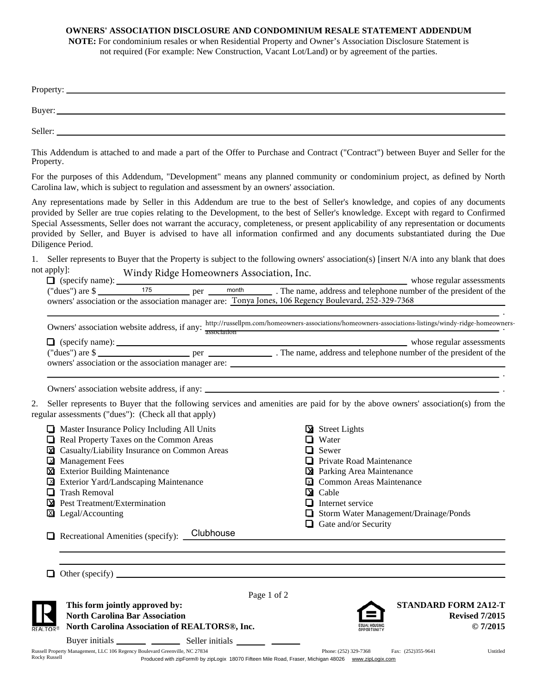## **OWNERS' ASSOCIATION DISCLOSURE AND CONDOMINIUM RESALE STATEMENT ADDENDUM**

**NOTE:** For condominium resales or when Residential Property and Owner's Association Disclosure Statement is not required (For example: New Construction, Vacant Lot/Land) or by agreement of the parties.

|  |  | maritari in the tributed occurs to touch and a monitoring of |  |
|--|--|--------------------------------------------------------------|--|

This Addendum is attached to and made a part of the Offer to Purchase and Contract ("Contract") between Buyer and Seller for the Property.

For the purposes of this Addendum, "Development" means any planned community or condominium project, as defined by North Carolina law, which is subject to regulation and assessment by an owners' association.

Any representations made by Seller in this Addendum are true to the best of Seller's knowledge, and copies of any documents provided by Seller are true copies relating to the Development, to the best of Seller's knowledge. Except with regard to Confirmed Special Assessments, Seller does not warrant the accuracy, completeness, or present applicability of any representation or documents provided by Seller, and Buyer is advised to have all information confirmed and any documents substantiated during the Due Diligence Period.

1. Seller represents to Buyer that the Property is subject to the following owners' association(s) [insert N/A into any blank that does not apply]: Windy Ridge Homeowners Association, Inc.

| $\Box$ (specify name):                                                                               |  |     |       | whose regular assessments                                        |
|------------------------------------------------------------------------------------------------------|--|-----|-------|------------------------------------------------------------------|
| ("dues") are $\$                                                                                     |  | per | month | . The name, address and telephone number of the president of the |
| owners' association or the association manager are: Tonya Jones, 106 Regency Boulevard, 252-329-7368 |  |     |       |                                                                  |
|                                                                                                      |  |     |       |                                                                  |

|                               | Owners' association website address, if any:        | association | http://russellpm.com/homeowners-associations/homeowners-associations-listings/windy-ridge-homeowners- |                           |
|-------------------------------|-----------------------------------------------------|-------------|-------------------------------------------------------------------------------------------------------|---------------------------|
| $\Box$ (specify name): $\Box$ |                                                     |             |                                                                                                       | whose regular assessments |
| ("dues") are $\frac{1}{2}$    | per                                                 |             | . The name, address and telephone number of the president of the                                      |                           |
|                               | owners' association or the association manager are: |             |                                                                                                       |                           |

.

Owners' association website address, if any: .

2. Seller represents to Buyer that the following services and amenities are paid for by the above owners' association(s) from the regular assessments ("dues"): (Check all that apply)

|                        | Master Insurance Policy Including All Units                                 |             |          | $\triangleright$ Street Lights               |                    |                             |
|------------------------|-----------------------------------------------------------------------------|-------------|----------|----------------------------------------------|--------------------|-----------------------------|
| ப                      | Real Property Taxes on the Common Areas                                     |             |          | Water                                        |                    |                             |
| lх                     | Casualty/Liability Insurance on Common Areas                                |             |          | Sewer                                        |                    |                             |
| $\mathsf{L}\mathsf{x}$ | <b>Management Fees</b>                                                      |             |          | Private Road Maintenance                     |                    |                             |
| ⋈                      | <b>Exterior Building Maintenance</b>                                        |             |          | <b>X</b> Parking Area Maintenance            |                    |                             |
|                        | Exterior Yard/Landscaping Maintenance                                       |             | $\times$ | <b>Common Areas Maintenance</b>              |                    |                             |
|                        | <b>Trash Removal</b>                                                        |             |          | $\Delta$ Cable                               |                    |                             |
| м                      | Pest Treatment/Extermination                                                |             |          | $\Box$ Internet service                      |                    |                             |
| Iх                     | Legal/Accounting                                                            |             |          | $\Box$ Storm Water Management/Drainage/Ponds |                    |                             |
|                        |                                                                             |             |          | $\Box$ Gate and/or Security                  |                    |                             |
|                        | Clubhouse<br>Recreational Amenities (specify):                              |             |          |                                              |                    |                             |
|                        |                                                                             |             |          |                                              |                    |                             |
|                        |                                                                             |             |          |                                              |                    |                             |
|                        |                                                                             |             |          |                                              |                    |                             |
|                        |                                                                             |             |          |                                              |                    |                             |
|                        |                                                                             | Page 1 of 2 |          |                                              |                    |                             |
|                        | This form jointly approved by:                                              |             |          |                                              |                    | <b>STANDARD FORM 2A12-T</b> |
|                        | <b>North Carolina Bar Association</b>                                       |             |          |                                              |                    | <b>Revised 7/2015</b>       |
| <b>REALTOR®</b>        | North Carolina Association of REALTORS®, Inc.                               |             |          | PPORTUNITY                                   |                    | $Q$ 7/2015                  |
|                        |                                                                             |             |          |                                              |                    |                             |
|                        | Russell Property Management, LLC 106 Regency Boulevard Greenville, NC 27834 |             |          | Phone: (252) 329-7368                        | Fax: (252)355-9641 | Untitled                    |